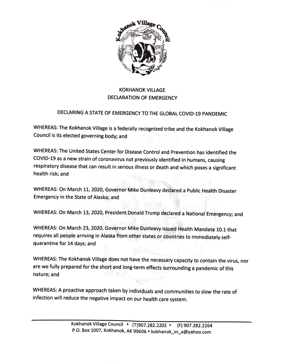

## KOKHANOK VILLAGE DECLARATION OF EMERGENCY

## DECLARING A STATE OF EMERGENCY TO THE GLOBAL COVID-19 PANDEMIC

WHEREAS: The Kokhanok Village is a federally recognized tribe and the Kokhanok Village Council is its elected governing body; and

WHEREAS: The United States Center for Disease Control and Prevention has identified the COVID-19 as a new strain of coronavirus not previously identified in humans, causing respiratory disease that can result in serious illness or death and which poses a significant health risk; and

WHEREAS: On March 11, 2020, Governor **Mike** Dunleavy declared a Public Health Disaster Emergency in the State of Alaska; and

WHEREAS: On March 13, 2020, President Donald Trump declared a National Emergency; and

WHEREAS: On March 23, 2020, Governor Mike Dunleavy issued Health Mandate 10.1 that requires all people arriving in Alaska from other states or countries to immediately selfquarantine for 14 days; and

WHEREAS: The Kokhanok Village does not have the necessary capacity to contain the virus, nor are we fully prepared for the short and long-term effects surrounding a pandemic of this nature; and

WHEREAS: A proactive approach taken by individuals and communities to slow the rate of infection will reduce the negative impact on our health care system.